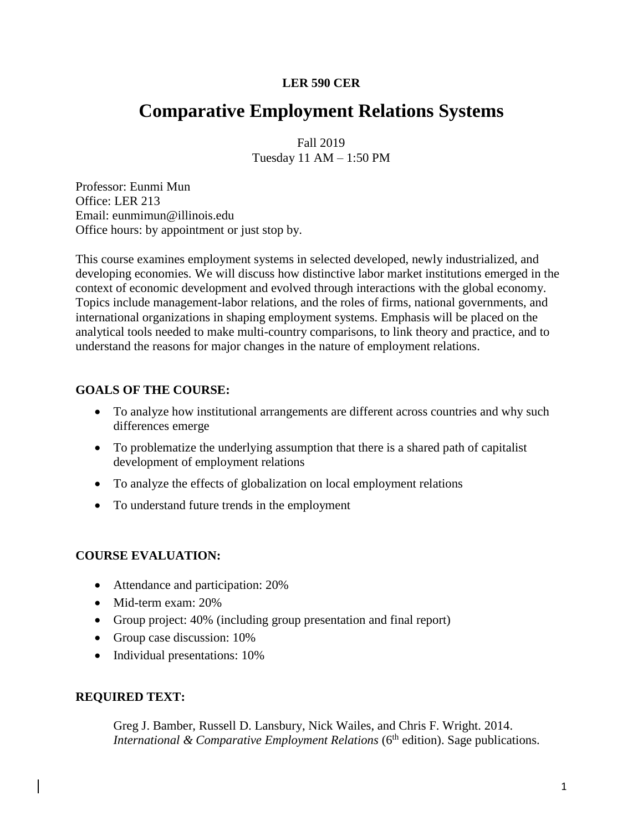# **LER 590 CER**

# **Comparative Employment Relations Systems**

Fall 2019 Tuesday 11 AM – 1:50 PM

Professor: Eunmi Mun Office: LER 213 Email: eunmimun@illinois.edu Office hours: by appointment or just stop by.

This course examines employment systems in selected developed, newly industrialized, and developing economies. We will discuss how distinctive labor market institutions emerged in the context of economic development and evolved through interactions with the global economy. Topics include management-labor relations, and the roles of firms, national governments, and international organizations in shaping employment systems. Emphasis will be placed on the analytical tools needed to make multi-country comparisons, to link theory and practice, and to understand the reasons for major changes in the nature of employment relations.

# **GOALS OF THE COURSE:**

- To analyze how institutional arrangements are different across countries and why such differences emerge
- To problematize the underlying assumption that there is a shared path of capitalist development of employment relations
- To analyze the effects of globalization on local employment relations
- To understand future trends in the employment

# **COURSE EVALUATION:**

- Attendance and participation: 20%
- Mid-term exam: 20%
- Group project: 40% (including group presentation and final report)
- Group case discussion: 10%
- Individual presentations: 10%

# **REQUIRED TEXT:**

Greg J. Bamber, Russell D. Lansbury, Nick Wailes, and Chris F. Wright. 2014. *International & Comparative Employment Relations* (6<sup>th</sup> edition). Sage publications.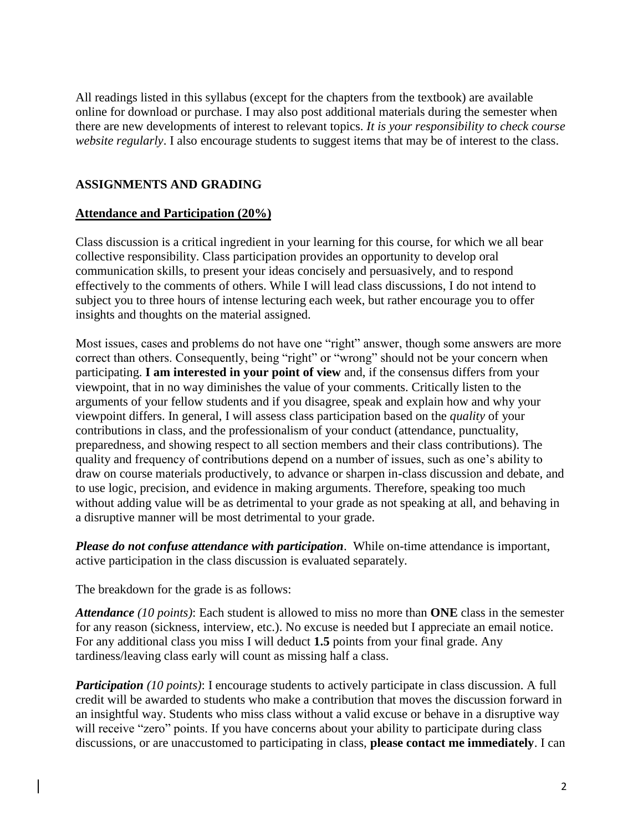All readings listed in this syllabus (except for the chapters from the textbook) are available online for download or purchase. I may also post additional materials during the semester when there are new developments of interest to relevant topics. *It is your responsibility to check course website regularly*. I also encourage students to suggest items that may be of interest to the class.

# **ASSIGNMENTS AND GRADING**

# **Attendance and Participation (20%)**

Class discussion is a critical ingredient in your learning for this course, for which we all bear collective responsibility. Class participation provides an opportunity to develop oral communication skills, to present your ideas concisely and persuasively, and to respond effectively to the comments of others. While I will lead class discussions, I do not intend to subject you to three hours of intense lecturing each week, but rather encourage you to offer insights and thoughts on the material assigned.

Most issues, cases and problems do not have one "right" answer, though some answers are more correct than others. Consequently, being "right" or "wrong" should not be your concern when participating. **I am interested in your point of view** and, if the consensus differs from your viewpoint, that in no way diminishes the value of your comments. Critically listen to the arguments of your fellow students and if you disagree, speak and explain how and why your viewpoint differs. In general, I will assess class participation based on the *quality* of your contributions in class, and the professionalism of your conduct (attendance, punctuality, preparedness, and showing respect to all section members and their class contributions). The quality and frequency of contributions depend on a number of issues, such as one's ability to draw on course materials productively, to advance or sharpen in-class discussion and debate, and to use logic, precision, and evidence in making arguments. Therefore, speaking too much without adding value will be as detrimental to your grade as not speaking at all, and behaving in a disruptive manner will be most detrimental to your grade.

*Please do not confuse attendance with participation*. While on-time attendance is important, active participation in the class discussion is evaluated separately.

The breakdown for the grade is as follows:

*Attendance (10 points)*: Each student is allowed to miss no more than **ONE** class in the semester for any reason (sickness, interview, etc.). No excuse is needed but I appreciate an email notice. For any additional class you miss I will deduct **1.5** points from your final grade. Any tardiness/leaving class early will count as missing half a class.

*Participation (10 points)*: I encourage students to actively participate in class discussion. A full credit will be awarded to students who make a contribution that moves the discussion forward in an insightful way. Students who miss class without a valid excuse or behave in a disruptive way will receive "zero" points. If you have concerns about your ability to participate during class discussions, or are unaccustomed to participating in class, **please contact me immediately**. I can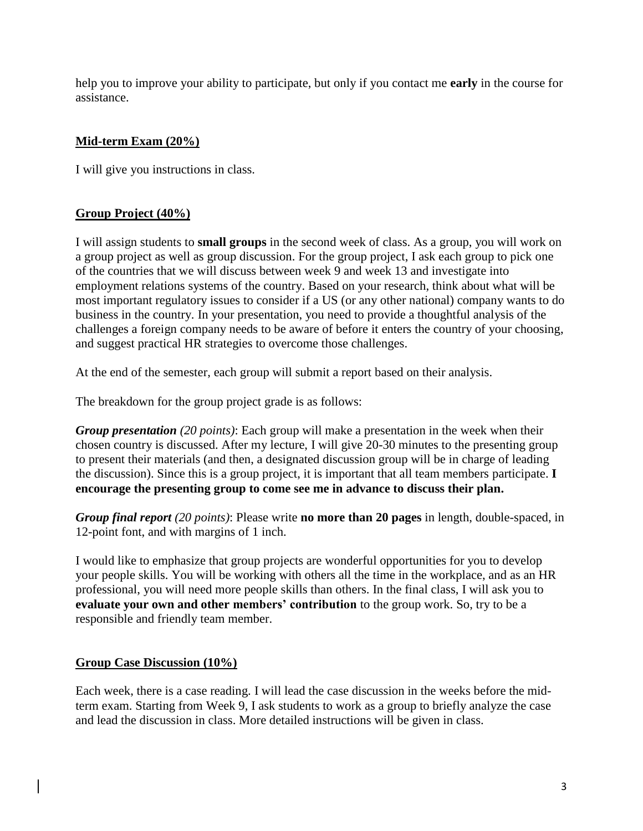help you to improve your ability to participate, but only if you contact me **early** in the course for assistance.

# **Mid-term Exam (20%)**

I will give you instructions in class.

# **Group Project (40%)**

I will assign students to **small groups** in the second week of class. As a group, you will work on a group project as well as group discussion. For the group project, I ask each group to pick one of the countries that we will discuss between week 9 and week 13 and investigate into employment relations systems of the country. Based on your research, think about what will be most important regulatory issues to consider if a US (or any other national) company wants to do business in the country. In your presentation, you need to provide a thoughtful analysis of the challenges a foreign company needs to be aware of before it enters the country of your choosing, and suggest practical HR strategies to overcome those challenges.

At the end of the semester, each group will submit a report based on their analysis.

The breakdown for the group project grade is as follows:

*Group presentation (20 points)*: Each group will make a presentation in the week when their chosen country is discussed. After my lecture, I will give 20-30 minutes to the presenting group to present their materials (and then, a designated discussion group will be in charge of leading the discussion). Since this is a group project, it is important that all team members participate. **I encourage the presenting group to come see me in advance to discuss their plan.** 

*Group final report (20 points)*: Please write **no more than 20 pages** in length, double-spaced, in 12-point font, and with margins of 1 inch.

I would like to emphasize that group projects are wonderful opportunities for you to develop your people skills. You will be working with others all the time in the workplace, and as an HR professional, you will need more people skills than others. In the final class, I will ask you to **evaluate your own and other members' contribution** to the group work. So, try to be a responsible and friendly team member.

# **Group Case Discussion (10%)**

Each week, there is a case reading. I will lead the case discussion in the weeks before the midterm exam. Starting from Week 9, I ask students to work as a group to briefly analyze the case and lead the discussion in class. More detailed instructions will be given in class.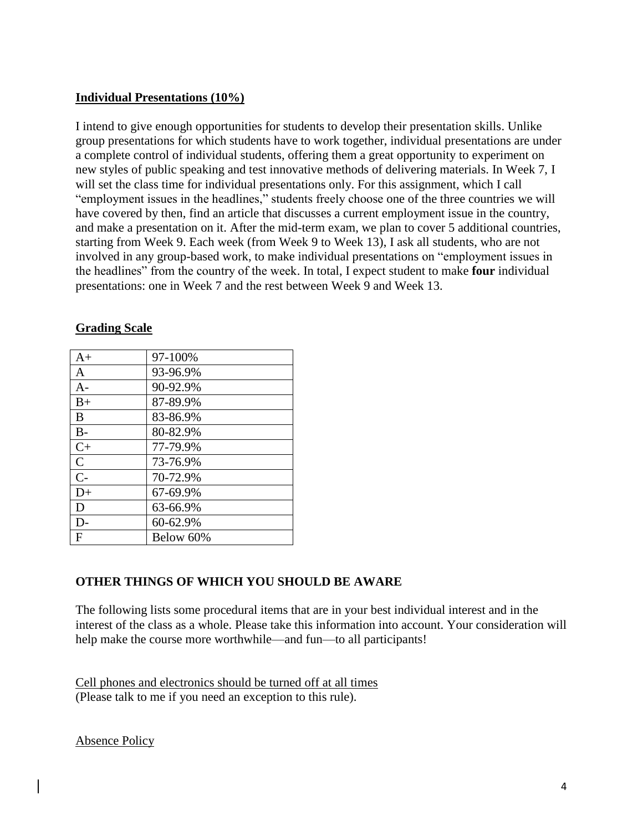## **Individual Presentations (10%)**

I intend to give enough opportunities for students to develop their presentation skills. Unlike group presentations for which students have to work together, individual presentations are under a complete control of individual students, offering them a great opportunity to experiment on new styles of public speaking and test innovative methods of delivering materials. In Week 7, I will set the class time for individual presentations only. For this assignment, which I call "employment issues in the headlines," students freely choose one of the three countries we will have covered by then, find an article that discusses a current employment issue in the country, and make a presentation on it. After the mid-term exam, we plan to cover 5 additional countries, starting from Week 9. Each week (from Week 9 to Week 13), I ask all students, who are not involved in any group-based work, to make individual presentations on "employment issues in the headlines" from the country of the week. In total, I expect student to make **four** individual presentations: one in Week 7 and the rest between Week 9 and Week 13.

| $A+$         | 97-100%   |
|--------------|-----------|
| $\mathbf{A}$ | 93-96.9%  |
| $A -$        | 90-92.9%  |
| $B+$         | 87-89.9%  |
| B            | 83-86.9%  |
| $B -$        | 80-82.9%  |
| $C+$         | 77-79.9%  |
| $\mathbf C$  | 73-76.9%  |
| $C-$         | 70-72.9%  |
| $D+$         | 67-69.9%  |
| D            | 63-66.9%  |
| D-           | 60-62.9%  |
| F            | Below 60% |

## **Grading Scale**

# **OTHER THINGS OF WHICH YOU SHOULD BE AWARE**

The following lists some procedural items that are in your best individual interest and in the interest of the class as a whole. Please take this information into account. Your consideration will help make the course more worthwhile—and fun—to all participants!

Cell phones and electronics should be turned off at all times (Please talk to me if you need an exception to this rule).

Absence Policy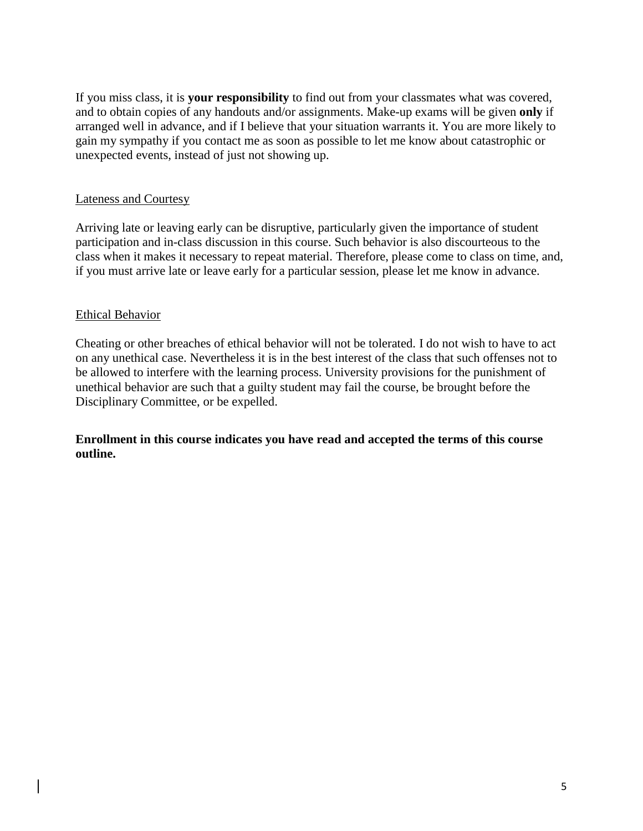If you miss class, it is **your responsibility** to find out from your classmates what was covered, and to obtain copies of any handouts and/or assignments. Make-up exams will be given **only** if arranged well in advance, and if I believe that your situation warrants it. You are more likely to gain my sympathy if you contact me as soon as possible to let me know about catastrophic or unexpected events, instead of just not showing up.

## Lateness and Courtesy

Arriving late or leaving early can be disruptive, particularly given the importance of student participation and in-class discussion in this course. Such behavior is also discourteous to the class when it makes it necessary to repeat material. Therefore, please come to class on time, and, if you must arrive late or leave early for a particular session, please let me know in advance.

## Ethical Behavior

Cheating or other breaches of ethical behavior will not be tolerated. I do not wish to have to act on any unethical case. Nevertheless it is in the best interest of the class that such offenses not to be allowed to interfere with the learning process. University provisions for the punishment of unethical behavior are such that a guilty student may fail the course, be brought before the Disciplinary Committee, or be expelled.

**Enrollment in this course indicates you have read and accepted the terms of this course outline.**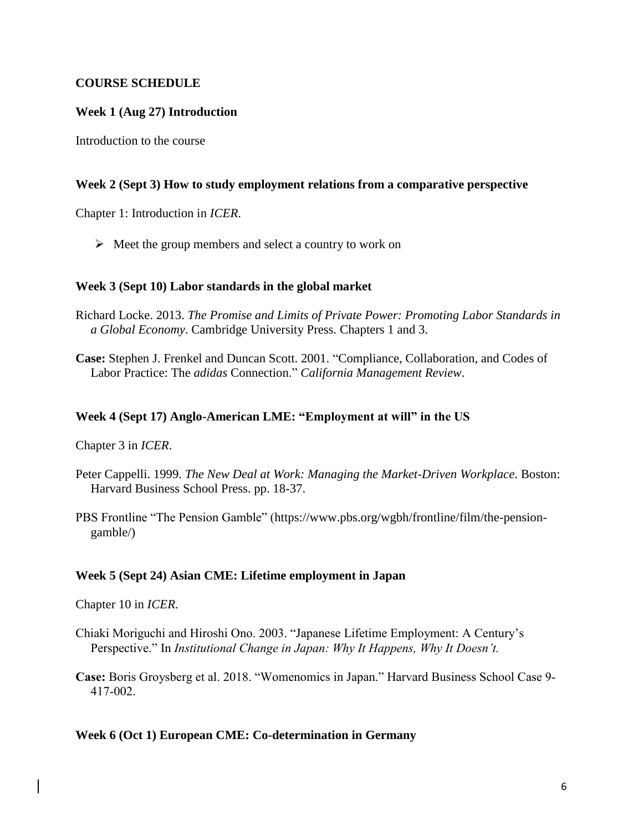## **COURSE SCHEDULE**

## **Week 1 (Aug 27) Introduction**

Introduction to the course

### **Week 2 (Sept 3) How to study employment relations from a comparative perspective**

Chapter 1: Introduction in *ICER*.

 $\triangleright$  Meet the group members and select a country to work on

#### **Week 3 (Sept 10) Labor standards in the global market**

- Richard Locke. 2013. *The Promise and Limits of Private Power: Promoting Labor Standards in a Global Economy*. Cambridge University Press. Chapters 1 and 3.
- **Case:** Stephen J. Frenkel and Duncan Scott. 2001. "Compliance, Collaboration, and Codes of Labor Practice: The *adidas* Connection." *California Management Review*.

#### **Week 4 (Sept 17) Anglo-American LME: "Employment at will" in the US**

Chapter 3 in *ICER*.

- Peter Cappelli. 1999. *The New Deal at Work: Managing the Market-Driven Workplace*. Boston: Harvard Business School Press. pp. 18-37.
- PBS Frontline "The Pension Gamble" (https://www.pbs.org/wgbh/frontline/film/the-pensiongamble/)

### **Week 5 (Sept 24) Asian CME: Lifetime employment in Japan**

Chapter 10 in *ICER*.

- Chiaki Moriguchi and Hiroshi Ono. 2003. "Japanese Lifetime Employment: A Century's Perspective." In *Institutional Change in Japan: Why It Happens, Why It Doesn't.*
- **Case:** Boris Groysberg et al. 2018. "Womenomics in Japan." Harvard Business School Case 9- 417-002.

#### **Week 6 (Oct 1) European CME: Co-determination in Germany**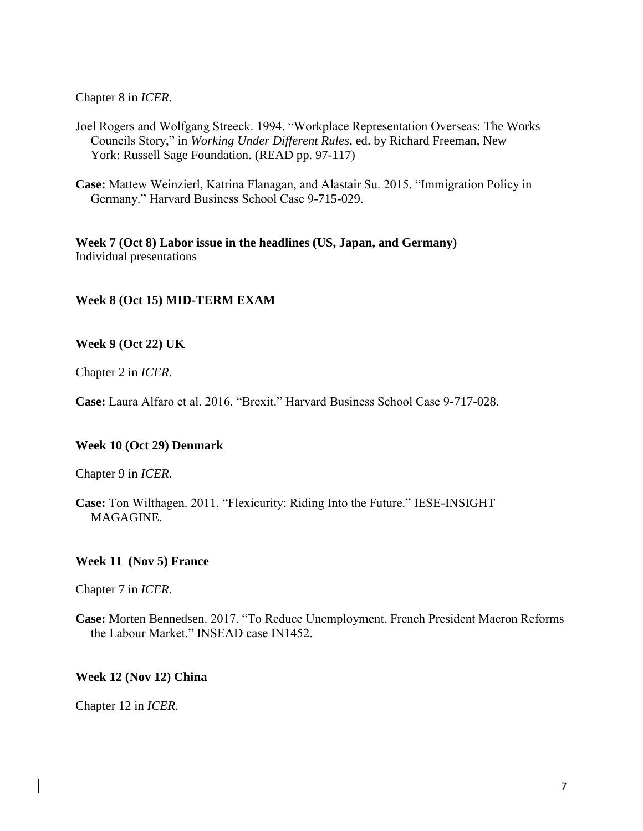Chapter 8 in *ICER*.

- Joel Rogers and Wolfgang Streeck. 1994. "Workplace Representation Overseas: The Works Councils Story," in *Working Under Different Rules*, ed. by Richard Freeman, New York: Russell Sage Foundation. (READ pp. 97-117)
- **Case:** Mattew Weinzierl, Katrina Flanagan, and Alastair Su. 2015. "Immigration Policy in Germany." Harvard Business School Case 9-715-029.

**Week 7 (Oct 8) Labor issue in the headlines (US, Japan, and Germany)** Individual presentations

## **Week 8 (Oct 15) MID-TERM EXAM**

### **Week 9 (Oct 22) UK**

Chapter 2 in *ICER*.

**Case:** Laura Alfaro et al. 2016. "Brexit." Harvard Business School Case 9-717-028.

### **Week 10 (Oct 29) Denmark**

Chapter 9 in *ICER*.

**Case:** Ton Wilthagen. 2011. "Flexicurity: Riding Into the Future." IESE-INSIGHT MAGAGINE.

### **Week 11 (Nov 5) France**

Chapter 7 in *ICER*.

**Case:** Morten Bennedsen. 2017. "To Reduce Unemployment, French President Macron Reforms the Labour Market." INSEAD case IN1452.

### **Week 12 (Nov 12) China**

Chapter 12 in *ICER*.